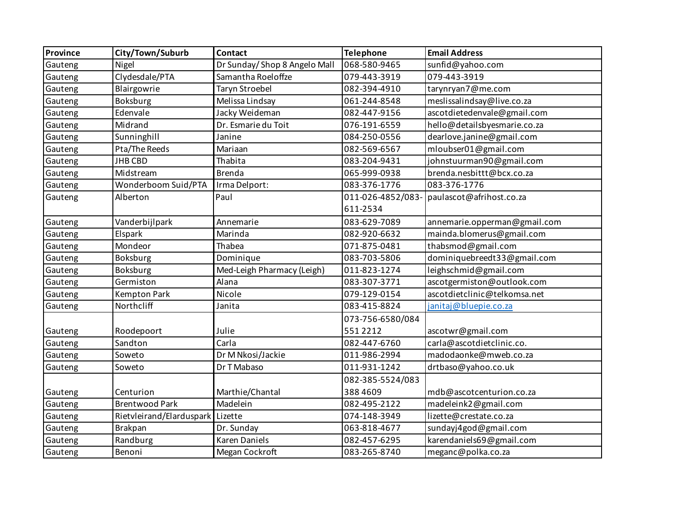| Province | City/Town/Suburb         | Contact                      | <b>Telephone</b>  | <b>Email Address</b>         |
|----------|--------------------------|------------------------------|-------------------|------------------------------|
| Gauteng  | Nigel                    | Dr Sunday/Shop 8 Angelo Mall | 068-580-9465      | sunfid@yahoo.com             |
| Gauteng  | Clydesdale/PTA           | Samantha Roeloffze           | 079-443-3919      | 079-443-3919                 |
| Gauteng  | Blairgowrie              | Taryn Stroebel               | 082-394-4910      | tarynryan7@me.com            |
| Gauteng  | Boksburg                 | Melissa Lindsay              | 061-244-8548      | meslissalindsay@live.co.za   |
| Gauteng  | Edenvale                 | Jacky Weideman               | 082-447-9156      | ascotdietedenvale@gmail.com  |
| Gauteng  | Midrand                  | Dr. Esmarie du Toit          | 076-191-6559      | hello@detailsbyesmarie.co.za |
| Gauteng  | Sunninghill              | Janine                       | 084-250-0556      | dearlove.janine@gmail.com    |
| Gauteng  | Pta/The Reeds            | Mariaan                      | 082-569-6567      | mloubser01@gmail.com         |
| Gauteng  | <b>JHB CBD</b>           | Thabita                      | 083-204-9431      | johnstuurman90@gmail.com     |
| Gauteng  | Midstream                | <b>Brenda</b>                | 065-999-0938      | brenda.nesbittt@bcx.co.za    |
| Gauteng  | Wonderboom Suid/PTA      | Irma Delport:                | 083-376-1776      | 083-376-1776                 |
| Gauteng  | Alberton                 | Paul                         | 011-026-4852/083- | paulascot@afrihost.co.za     |
|          |                          |                              | 611-2534          |                              |
| Gauteng  | Vanderbijlpark           | Annemarie                    | 083-629-7089      | annemarie.opperman@gmail.com |
| Gauteng  | Elspark                  | Marinda                      | 082-920-6632      | mainda.blomerus@gmail.com    |
| Gauteng  | Mondeor                  | Thabea                       | 071-875-0481      | thabsmod@gmail.com           |
| Gauteng  | Boksburg                 | Dominique                    | 083-703-5806      | dominiquebreedt33@gmail.com  |
| Gauteng  | Boksburg                 | Med-Leigh Pharmacy (Leigh)   | 011-823-1274      | leighschmid@gmail.com        |
| Gauteng  | Germiston                | Alana                        | 083-307-3771      | ascotgermiston@outlook.com   |
| Gauteng  | Kempton Park             | Nicole                       | 079-129-0154      | ascotdietclinic@telkomsa.net |
| Gauteng  | Northcliff               | Janita                       | 083-415-8824      | janitaj@bluepie.co.za        |
|          |                          |                              | 073-756-6580/084  |                              |
| Gauteng  | Roodepoort               | Julie                        | 5512212           | ascotwr@gmail.com            |
| Gauteng  | Sandton                  | Carla                        | 082-447-6760      | carla@ascotdietclinic.co.    |
| Gauteng  | Soweto                   | Dr M Nkosi/Jackie            | 011-986-2994      | madodaonke@mweb.co.za        |
| Gauteng  | Soweto                   | Dr T Mabaso                  | 011-931-1242      | drtbaso@yahoo.co.uk          |
|          |                          |                              | 082-385-5524/083  |                              |
| Gauteng  | Centurion                | Marthie/Chantal              | 3884609           | mdb@ascotcenturion.co.za     |
| Gauteng  | <b>Brentwood Park</b>    | Madelein                     | 082-495-2122      | madeleink2@gmail.com         |
| Gauteng  | Rietvleirand/Elarduspark | Lizette                      | 074-148-3949      | lizette@crestate.co.za       |
| Gauteng  | <b>Brakpan</b>           | Dr. Sunday                   | 063-818-4677      | sundayj4god@gmail.com        |
| Gauteng  | Randburg                 | <b>Karen Daniels</b>         | 082-457-6295      | karendaniels69@gmail.com     |
| Gauteng  | Benoni                   | Megan Cockroft               | 083-265-8740      | meganc@polka.co.za           |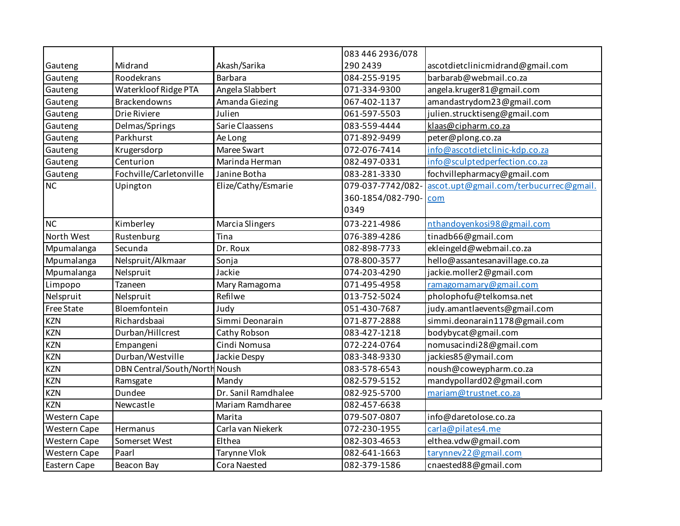|              |                               |                     | 083 446 2936/078  |                                        |
|--------------|-------------------------------|---------------------|-------------------|----------------------------------------|
| Gauteng      | Midrand                       | Akash/Sarika        | 290 2439          | ascotdietclinicmidrand@gmail.com       |
| Gauteng      | Roodekrans                    | <b>Barbara</b>      | 084-255-9195      | barbarab@webmail.co.za                 |
| Gauteng      | Waterkloof Ridge PTA          | Angela Slabbert     | 071-334-9300      | angela.kruger81@gmail.com              |
| Gauteng      | <b>Brackendowns</b>           | Amanda Giezing      | 067-402-1137      | amandastrydom23@gmail.com              |
| Gauteng      | Drie Riviere                  | Julien              | 061-597-5503      | julien.strucktiseng@gmail.com          |
| Gauteng      | Delmas/Springs                | Sarie Claassens     | 083-559-4444      | klaas@cipharm.co.za                    |
| Gauteng      | Parkhurst                     | Ae Long             | 071-892-9499      | peter@plong.co.za                      |
| Gauteng      | Krugersdorp                   | Maree Swart         | 072-076-7414      | info@ascotdietclinic-kdp.co.za         |
| Gauteng      | Centurion                     | Marinda Herman      | 082-497-0331      | info@sculptedperfection.co.za          |
| Gauteng      | Fochville/Carletonville       | Janine Botha        | 083-281-3330      | fochvillepharmacy@gmail.com            |
| <b>NC</b>    | Upington                      | Elize/Cathy/Esmarie | 079-037-7742/082- | ascot.upt@gmail.com/terbucurrec@gmail. |
|              |                               |                     | 360-1854/082-790- | com                                    |
|              |                               |                     | 0349              |                                        |
| <b>NC</b>    | Kimberley                     | Marcia Slingers     | 073-221-4986      | nthandoyenkosi98@gmail.com             |
| North West   | Rustenburg                    | Tina                | 076-389-4286      | tinadb66@gmail.com                     |
| Mpumalanga   | Secunda                       | Dr. Roux            | 082-898-7733      | ekleingeld@webmail.co.za               |
| Mpumalanga   | Nelspruit/Alkmaar             | Sonja               | 078-800-3577      | hello@assantesanavillage.co.za         |
| Mpumalanga   | Nelspruit                     | Jackie              | 074-203-4290      | jackie.moller2@gmail.com               |
| Limpopo      | Tzaneen                       | Mary Ramagoma       | 071-495-4958      | ramagomamary@gmail.com                 |
| Nelspruit    | Nelspruit                     | Refilwe             | 013-752-5024      | pholophofu@telkomsa.net                |
| Free State   | Bloemfontein                  | Judy                | 051-430-7687      | judy.amantlaevents@gmail.com           |
| <b>KZN</b>   | Richardsbaai                  | Simmi Deonarain     | 071-877-2888      | simmi.deonarain1178@gmail.com          |
| <b>KZN</b>   | Durban/Hillcrest              | Cathy Robson        | 083-427-1218      | bodybycat@gmail.com                    |
| <b>KZN</b>   | Empangeni                     | Cindi Nomusa        | 072-224-0764      | nomusacindi28@gmail.com                |
| <b>KZN</b>   | Durban/Westville              | Jackie Despy        | 083-348-9330      | jackies85@ymail.com                    |
| <b>KZN</b>   | DBN Central/South/North Noush |                     | 083-578-6543      | noush@coweypharm.co.za                 |
| <b>KZN</b>   | Ramsgate                      | Mandy               | 082-579-5152      | mandypollard02@gmail.com               |
| <b>KZN</b>   | Dundee                        | Dr. Sanil Ramdhalee | 082-925-5700      | mariam@trustnet.co.za                  |
| <b>KZN</b>   | Newcastle                     | Mariam Ramdharee    | 082-457-6638      |                                        |
| Western Cape |                               | Marita              | 079-507-0807      | info@daretolose.co.za                  |
| Western Cape | Hermanus                      | Carla van Niekerk   | 072-230-1955      | carla@pilates4.me                      |
| Western Cape | Somerset West                 | Elthea              | 082-303-4653      | elthea.vdw@gmail.com                   |
| Western Cape | Paarl                         | <b>Tarynne Vlok</b> | 082-641-1663      | tarynnev22@gmail.com                   |
| Eastern Cape | Beacon Bay                    | <b>Cora Naested</b> | 082-379-1586      | cnaested88@gmail.com                   |